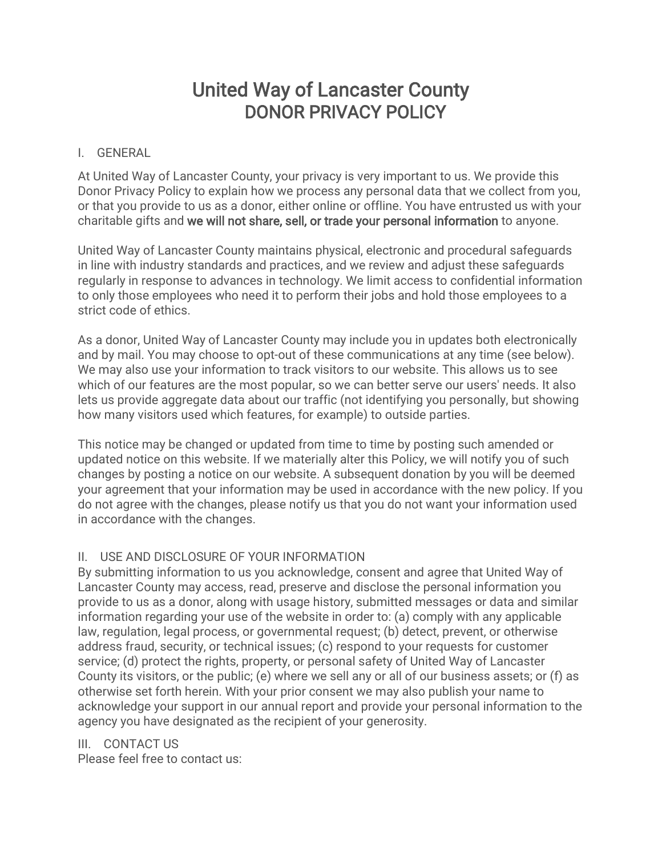## United Way of Lancaster County DONOR PRIVACY POLICY

## I. GENERAL

At United Way of Lancaster County, your privacy is very important to us. We provide this Donor Privacy Policy to explain how we process any personal data that we collect from you, or that you provide to us as a donor, either online or offline. You have entrusted us with your charitable gifts and we will not share, sell, or trade your personal information to anyone.

United Way of Lancaster County maintains physical, electronic and procedural safeguards in line with industry standards and practices, and we review and adjust these safeguards regularly in response to advances in technology. We limit access to confidential information to only those employees who need it to perform their jobs and hold those employees to a strict code of ethics.

As a donor, United Way of Lancaster County may include you in updates both electronically and by mail. You may choose to opt-out of these communications at any time (see below). We may also use your information to track visitors to our website. This allows us to see which of our features are the most popular, so we can better serve our users' needs. It also lets us provide aggregate data about our traffic (not identifying you personally, but showing how many visitors used which features, for example) to outside parties.

This notice may be changed or updated from time to time by posting such amended or updated notice on this website. If we materially alter this Policy, we will notify you of such changes by posting a notice on our website. A subsequent donation by you will be deemed your agreement that your information may be used in accordance with the new policy. If you do not agree with the changes, please notify us that you do not want your information used in accordance with the changes.

## II. USE AND DISCLOSURE OF YOUR INFORMATION

By submitting information to us you acknowledge, consent and agree that United Way of Lancaster County may access, read, preserve and disclose the personal information you provide to us as a donor, along with usage history, submitted messages or data and similar information regarding your use of the website in order to: (a) comply with any applicable law, regulation, legal process, or governmental request; (b) detect, prevent, or otherwise address fraud, security, or technical issues; (c) respond to your requests for customer service; (d) protect the rights, property, or personal safety of United Way of Lancaster County its visitors, or the public; (e) where we sell any or all of our business assets; or (f) as otherwise set forth herein. With your prior consent we may also publish your name to acknowledge your support in our annual report and provide your personal information to the agency you have designated as the recipient of your generosity.

## III. CONTACT US

Please feel free to contact us: